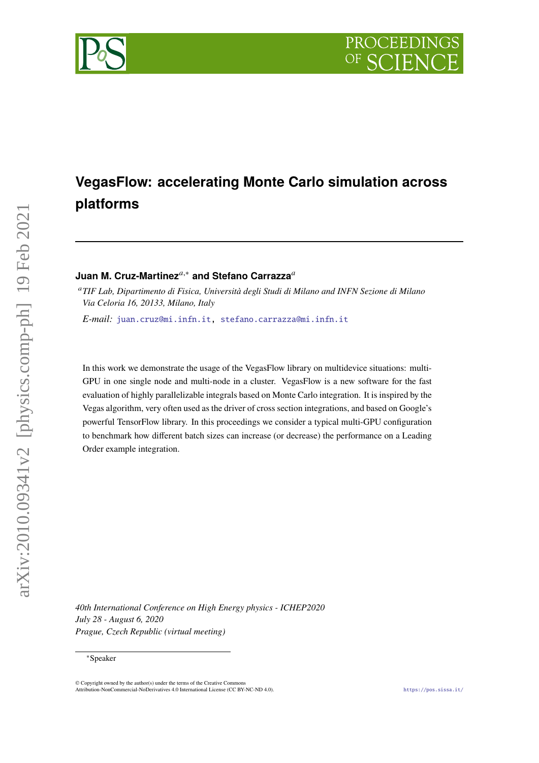# **VegasFlow: accelerating Monte Carlo simulation across platforms**

# **Juan M. Cruz-Martinez**<sup>a,∗</sup> and Stefano Carrazza<sup>a</sup>

*TIF Lab, Dipartimento di Fisica, Università degli Studi di Milano and INFN Sezione di Milano Via Celoria 16, 20133, Milano, Italy*

*E-mail:* [juan.cruz@mi.infn.it,](mailto:juan.cruz@mi.infn.it) [stefano.carrazza@mi.infn.it](mailto:stefano.carrazza@mi.infn.it)

In this work we demonstrate the usage of the VegasFlow library on multidevice situations: multi-GPU in one single node and multi-node in a cluster. VegasFlow is a new software for the fast evaluation of highly parallelizable integrals based on Monte Carlo integration. It is inspired by the Vegas algorithm, very often used as the driver of cross section integrations, and based on Google's powerful TensorFlow library. In this proceedings we consider a typical multi-GPU configuration to benchmark how different batch sizes can increase (or decrease) the performance on a Leading Order example integration.

*40th International Conference on High Energy physics - ICHEP2020 July 28 - August 6, 2020 Prague, Czech Republic (virtual meeting)*

#### <sup>∗</sup>Speaker

 $\odot$  Copyright owned by the author(s) under the terms of the Creative Common Attribution-NonCommercial-NoDerivatives 4.0 International License (CC BY-NC-ND 4.0). <https://pos.sissa.it/>

PROCEEDINGS

arXiv:2010.09341v2 [physics.comp-ph] 19 Feb 2021

arXiv:2010.09341v2 [physics.comp-ph] 19 Feb 2021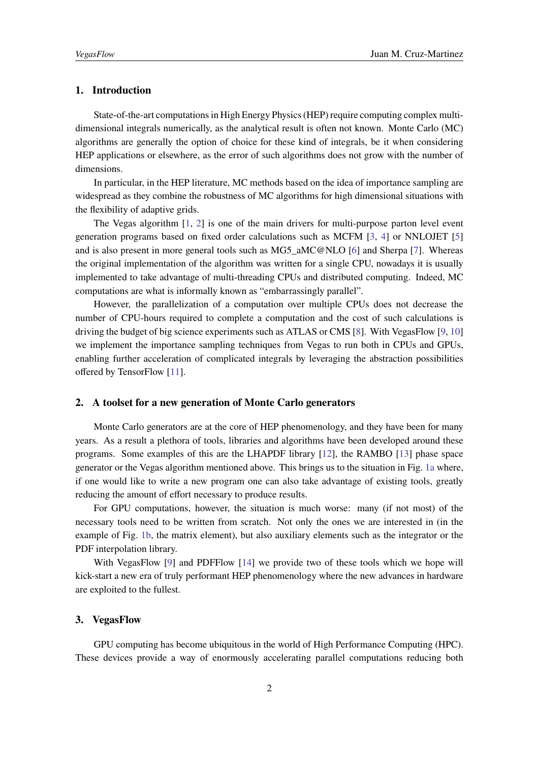## **1. Introduction**

State-of-the-art computations in High Energy Physics (HEP) require computing complex multidimensional integrals numerically, as the analytical result is often not known. Monte Carlo (MC) algorithms are generally the option of choice for these kind of integrals, be it when considering HEP applications or elsewhere, as the error of such algorithms does not grow with the number of dimensions.

In particular, in the HEP literature, MC methods based on the idea of importance sampling are widespread as they combine the robustness of MC algorithms for high dimensional situations with the flexibility of adaptive grids.

The Vegas algorithm [\[1,](#page-5-0) [2\]](#page-5-1) is one of the main drivers for multi-purpose parton level event generation programs based on fixed order calculations such as MCFM [\[3,](#page-5-2) [4\]](#page-5-3) or NNLOJET [\[5\]](#page-5-4) and is also present in more general tools such as MG5\_aMC@NLO [\[6\]](#page-5-5) and Sherpa [\[7\]](#page-5-6). Whereas the original implementation of the algorithm was written for a single CPU, nowadays it is usually implemented to take advantage of multi-threading CPUs and distributed computing. Indeed, MC computations are what is informally known as "embarrassingly parallel".

However, the parallelization of a computation over multiple CPUs does not decrease the number of CPU-hours required to complete a computation and the cost of such calculations is driving the budget of big science experiments such as ATLAS or CMS [\[8\]](#page-5-7). With VegasFlow [\[9,](#page-5-8) [10\]](#page-5-9) we implement the importance sampling techniques from Vegas to run both in CPUs and GPUs, enabling further acceleration of complicated integrals by leveraging the abstraction possibilities offered by TensorFlow [\[11\]](#page-5-10).

## **2. A toolset for a new generation of Monte Carlo generators**

Monte Carlo generators are at the core of HEP phenomenology, and they have been for many years. As a result a plethora of tools, libraries and algorithms have been developed around these programs. Some examples of this are the LHAPDF library [\[12\]](#page-5-11), the RAMBO [\[13\]](#page-6-0) phase space generator or the Vegas algorithm mentioned above. This brings us to the situation in Fig. [1a](#page-2-0) where, if one would like to write a new program one can also take advantage of existing tools, greatly reducing the amount of effort necessary to produce results.

For GPU computations, however, the situation is much worse: many (if not most) of the necessary tools need to be written from scratch. Not only the ones we are interested in (in the example of Fig. [1b,](#page-2-0) the matrix element), but also auxiliary elements such as the integrator or the PDF interpolation library.

With VegasFlow [\[9\]](#page-5-8) and PDFFlow [\[14\]](#page-6-1) we provide two of these tools which we hope will kick-start a new era of truly performant HEP phenomenology where the new advances in hardware are exploited to the fullest.

#### **3. VegasFlow**

GPU computing has become ubiquitous in the world of High Performance Computing (HPC). These devices provide a way of enormously accelerating parallel computations reducing both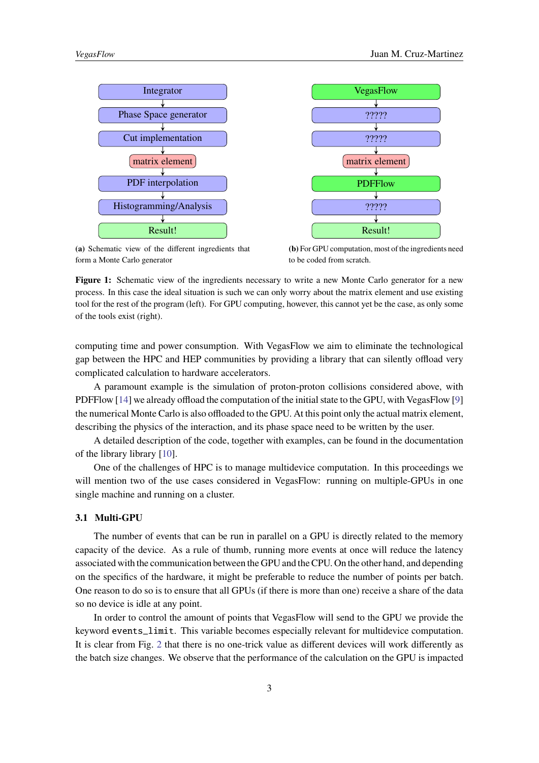<span id="page-2-0"></span>

**(a)** Schematic view of the different ingredients that form a Monte Carlo generator

**(b)** For GPU computation, most of the ingredients need to be coded from scratch.

**Figure 1:** Schematic view of the ingredients necessary to write a new Monte Carlo generator for a new process. In this case the ideal situation is such we can only worry about the matrix element and use existing tool for the rest of the program (left). For GPU computing, however, this cannot yet be the case, as only some of the tools exist (right).

computing time and power consumption. With VegasFlow we aim to eliminate the technological gap between the HPC and HEP communities by providing a library that can silently offload very complicated calculation to hardware accelerators.

A paramount example is the simulation of proton-proton collisions considered above, with PDFFlow [\[14\]](#page-6-1) we already offload the computation of the initial state to the GPU, with VegasFlow [\[9\]](#page-5-8) the numerical Monte Carlo is also offloaded to the GPU. At this point only the actual matrix element, describing the physics of the interaction, and its phase space need to be written by the user.

A detailed description of the code, together with examples, can be found in the documentation of the library library [\[10\]](#page-5-9).

One of the challenges of HPC is to manage multidevice computation. In this proceedings we will mention two of the use cases considered in VegasFlow: running on multiple-GPUs in one single machine and running on a cluster.

## **3.1 Multi-GPU**

The number of events that can be run in parallel on a GPU is directly related to the memory capacity of the device. As a rule of thumb, running more events at once will reduce the latency associated with the communication between the GPU and the CPU. On the other hand, and depending on the specifics of the hardware, it might be preferable to reduce the number of points per batch. One reason to do so is to ensure that all GPUs (if there is more than one) receive a share of the data so no device is idle at any point.

In order to control the amount of points that VegasFlow will send to the GPU we provide the keyword events\_limit. This variable becomes especially relevant for multidevice computation. It is clear from Fig. [2](#page-3-0) that there is no one-trick value as different devices will work differently as the batch size changes. We observe that the performance of the calculation on the GPU is impacted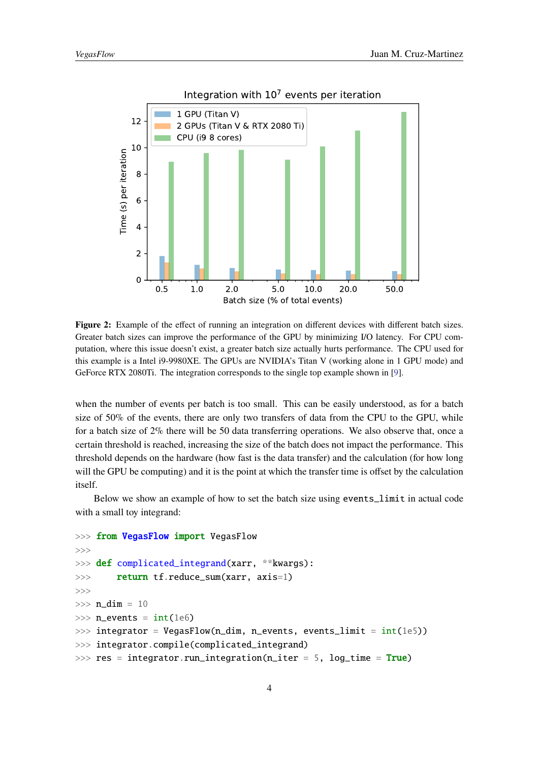<span id="page-3-0"></span>

**Figure 2:** Example of the effect of running an integration on different devices with different batch sizes. Greater batch sizes can improve the performance of the GPU by minimizing I/O latency. For CPU computation, where this issue doesn't exist, a greater batch size actually hurts performance. The CPU used for this example is a Intel i9-9980XE. The GPUs are NVIDIA's Titan V (working alone in 1 GPU mode) and GeForce RTX 2080Ti. The integration corresponds to the single top example shown in [\[9\]](#page-5-8).

when the number of events per batch is too small. This can be easily understood, as for a batch size of 50% of the events, there are only two transfers of data from the CPU to the GPU, while for a batch size of 2% there will be 50 data transferring operations. We also observe that, once a certain threshold is reached, increasing the size of the batch does not impact the performance. This threshold depends on the hardware (how fast is the data transfer) and the calculation (for how long will the GPU be computing) and it is the point at which the transfer time is offset by the calculation itself.

Below we show an example of how to set the batch size using events\_limit in actual code with a small toy integrand:

```
>>> from VegasFlow import VegasFlow
>>>
>>> def complicated_integrand(xarr, **kwargs):
>>> return tf.reduce_sum(xarr, axis=1)
>>>
\gg n_dim = 10
\gg n_events = int(1e6)>>> integrator = VegasFlow(n_dim, n_events, events_limit = int(1e5))
>>> integrator.compile(complicated_integrand)
\gg res = integrator.run_integration(n_iter = 5, log_time = True)
```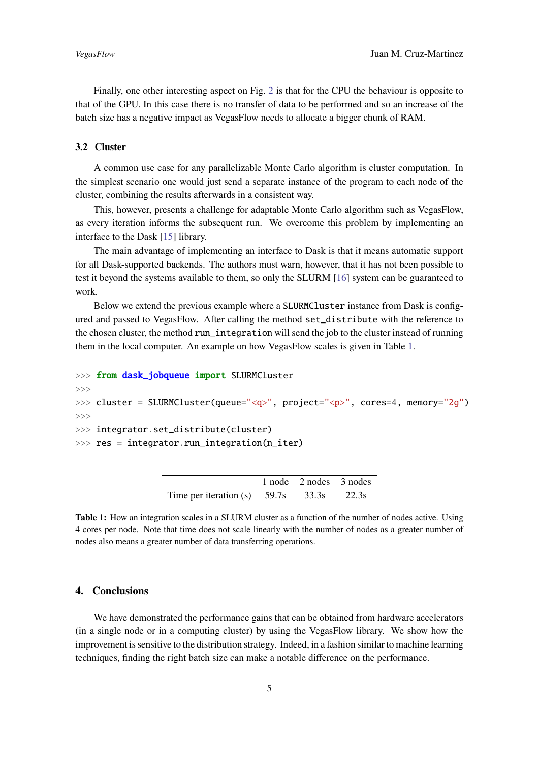Finally, one other interesting aspect on Fig. [2](#page-3-0) is that for the CPU the behaviour is opposite to that of the GPU. In this case there is no transfer of data to be performed and so an increase of the batch size has a negative impact as VegasFlow needs to allocate a bigger chunk of RAM.

#### **3.2 Cluster**

A common use case for any parallelizable Monte Carlo algorithm is cluster computation. In the simplest scenario one would just send a separate instance of the program to each node of the cluster, combining the results afterwards in a consistent way.

This, however, presents a challenge for adaptable Monte Carlo algorithm such as VegasFlow, as every iteration informs the subsequent run. We overcome this problem by implementing an interface to the Dask [\[15\]](#page-6-2) library.

The main advantage of implementing an interface to Dask is that it means automatic support for all Dask-supported backends. The authors must warn, however, that it has not been possible to test it beyond the systems available to them, so only the SLURM [\[16\]](#page-6-3) system can be guaranteed to work.

Below we extend the previous example where a SLURMCluster instance from Dask is configured and passed to VegasFlow. After calling the method set\_distribute with the reference to the chosen cluster, the method run\_integration will send the job to the cluster instead of running them in the local computer. An example on how VegasFlow scales is given in Table [1.](#page-4-0)

```
>>> from dask_jobqueue import SLURMCluster
```
>>>

```
>>> cluster = SLURMCluster(queue="<q>", project="<p>", cores=4, memory="2g")
>>>
```
>>> integrator.set\_distribute(cluster)

```
\gg res = integrator.run_integration(n_iter)
```

|                                | 1 node 2 nodes 3 nodes |       |
|--------------------------------|------------------------|-------|
| Time per iteration (s) $59.7s$ | 33.3s                  | 22.3s |

**Table 1:** How an integration scales in a SLURM cluster as a function of the number of nodes active. Using 4 cores per node. Note that time does not scale linearly with the number of nodes as a greater number of nodes also means a greater number of data transferring operations.

## **4. Conclusions**

We have demonstrated the performance gains that can be obtained from hardware accelerators (in a single node or in a computing cluster) by using the VegasFlow library. We show how the improvement is sensitive to the distribution strategy. Indeed, in a fashion similar to machine learning techniques, finding the right batch size can make a notable difference on the performance.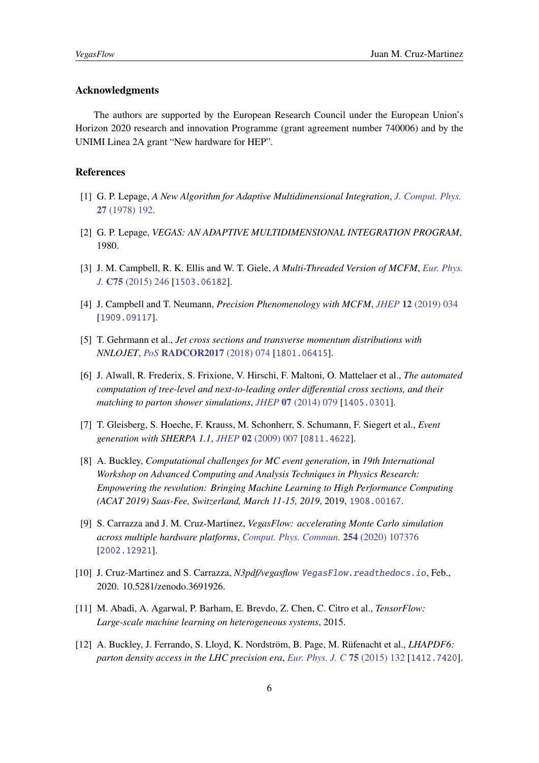### **Acknowledgments**

The authors are supported by the European Research Council under the European Union's Horizon 2020 research and innovation Programme (grant agreement number 740006) and by the UNIMI Linea 2A grant "New hardware for HEP".

#### **References**

- <span id="page-5-0"></span>[1] G. P. Lepage, *A New Algorithm for Adaptive Multidimensional Integration*, *[J. Comput. Phys.](https://doi.org/10.1016/0021-9991(78)90004-9)* **27** [\(1978\) 192.](https://doi.org/10.1016/0021-9991(78)90004-9)
- <span id="page-5-1"></span>[2] G. P. Lepage, *VEGAS: AN ADAPTIVE MULTIDIMENSIONAL INTEGRATION PROGRAM*, 1980.
- <span id="page-5-2"></span>[3] J. M. Campbell, R. K. Ellis and W. T. Giele, *A Multi-Threaded Version of MCFM*, *[Eur. Phys.](https://doi.org/10.1140/epjc/s10052-015-3461-2) J.* **C75** [\(2015\) 246](https://doi.org/10.1140/epjc/s10052-015-3461-2) [[1503.06182](https://arxiv.org/abs/1503.06182)].
- <span id="page-5-3"></span>[4] J. Campbell and T. Neumann, *Precision Phenomenology with MCFM*, *JHEP* **12** [\(2019\) 034](https://doi.org/10.1007/JHEP12(2019)034) [[1909.09117](https://arxiv.org/abs/1909.09117)].
- <span id="page-5-4"></span>[5] T. Gehrmann et al., *Jet cross sections and transverse momentum distributions with NNLOJET*, *PoS* **[RADCOR2017](https://doi.org/10.22323/1.290.0074)** (2018) 074 [[1801.06415](https://arxiv.org/abs/1801.06415)].
- <span id="page-5-5"></span>[6] J. Alwall, R. Frederix, S. Frixione, V. Hirschi, F. Maltoni, O. Mattelaer et al., *The automated computation of tree-level and next-to-leading order differential cross sections, and their matching to parton shower simulations*, *JHEP* **07** [\(2014\) 079](https://doi.org/10.1007/JHEP07(2014)079) [[1405.0301](https://arxiv.org/abs/1405.0301)].
- <span id="page-5-6"></span>[7] T. Gleisberg, S. Hoeche, F. Krauss, M. Schonherr, S. Schumann, F. Siegert et al., *Event generation with SHERPA 1.1*, *JHEP* **02** [\(2009\) 007](https://doi.org/10.1088/1126-6708/2009/02/007) [[0811.4622](https://arxiv.org/abs/0811.4622)].
- <span id="page-5-7"></span>[8] A. Buckley, *Computational challenges for MC event generation*, in *19th International Workshop on Advanced Computing and Analysis Techniques in Physics Research: Empowering the revolution: Bringing Machine Learning to High Performance Computing (ACAT 2019) Saas-Fee, Switzerland, March 11-15, 2019*, 2019, [1908.00167](https://arxiv.org/abs/1908.00167).
- <span id="page-5-8"></span>[9] S. Carrazza and J. M. Cruz-Martinez, *VegasFlow: accelerating Monte Carlo simulation across multiple hardware platforms*, *[Comput. Phys. Commun.](https://doi.org/10.1016/j.cpc.2020.107376)* **254** (2020) 107376 [[2002.12921](https://arxiv.org/abs/2002.12921)].
- <span id="page-5-9"></span>[10] J. Cruz-Martinez and S. Carrazza, *N3pdf/vegasflow* <VegasFlow.readthedocs.io>, Feb., 2020. 10.5281/zenodo.3691926.
- <span id="page-5-10"></span>[11] M. Abadi, A. Agarwal, P. Barham, E. Brevdo, Z. Chen, C. Citro et al., *TensorFlow: Large-scale machine learning on heterogeneous systems*, 2015.
- <span id="page-5-11"></span>[12] A. Buckley, J. Ferrando, S. Lloyd, K. Nordström, B. Page, M. Rüfenacht et al., *LHAPDF6: parton density access in the LHC precision era*, *[Eur. Phys. J. C](https://doi.org/10.1140/epjc/s10052-015-3318-8)* **75** (2015) 132 [[1412.7420](https://arxiv.org/abs/1412.7420)].